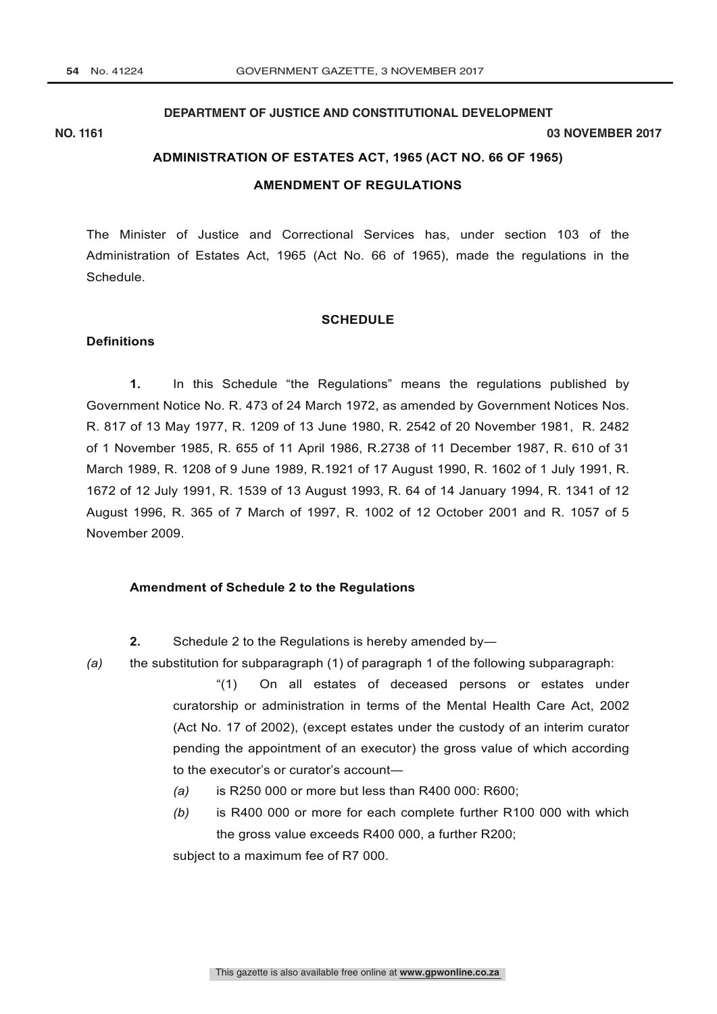## **DEPARTMENT OF JUSTICE AND CONSTITUTIONAL DEVELOPMENT**

#### **NO. 1161 03 NOVEMBER 2017**

## **ADMINISTRATION OF ESTATES ACT, 1965 (ACT NO. 66 OF 1965)**

#### **AMENDMENT OF REGULATIONS**

The Minister of Justice and Correctional Services has, under section 103 of the Administration of Estates Act, 1965 (Act No. 66 of 1965), made the regulations in the Schedule.

#### **SCHEDULE**

#### **Definitions**

**1.** In this Schedule "the Regulations" means the regulations published by Government Notice No. R. 473 of 24 March 1972, as amended by Government Notices Nos. R. 817 of 13 May 1977, R. 1209 of 13 June 1980, R. 2542 of 20 November 1981, R. 2482 of 1 November 1985, R. 655 of 11 April 1986, R.2738 of 11 December 1987, R. 610 of 31 March 1989, R. 1208 of 9 June 1989, R.1921 of 17 August 1990, R. 1602 of 1 July 1991, R. 1672 of 12 July 1991, R. 1539 of 13 August 1993, R. 64 of 14 January 1994, R. 1341 of 12 August 1996, R. 365 of 7 March of 1997, R. 1002 of 12 October 2001 and R. 1057 of 5 November 2009.

#### **Amendment of Schedule 2 to the Regulations**

- **2.** Schedule 2 to the Regulations is hereby amended by-
- *(a)* the substitution for subparagraph (1) of paragraph 1 of the following subparagraph:

"(1) On all estates of deceased persons or estates under curatorship or administration in terms of the Mental Health Care Act, 2002 (Act No. 17 of 2002), (except estates under the custody of an interim curator pending the appointment of an executor) the gross value of which according to the executor's or curator's account―

- *(a)* is R250 000 or more but less than R400 000: R600;
- *(b)* is R400 000 or more for each complete further R100 000 with which the gross value exceeds R400 000, a further R200;

subject to a maximum fee of R7 000.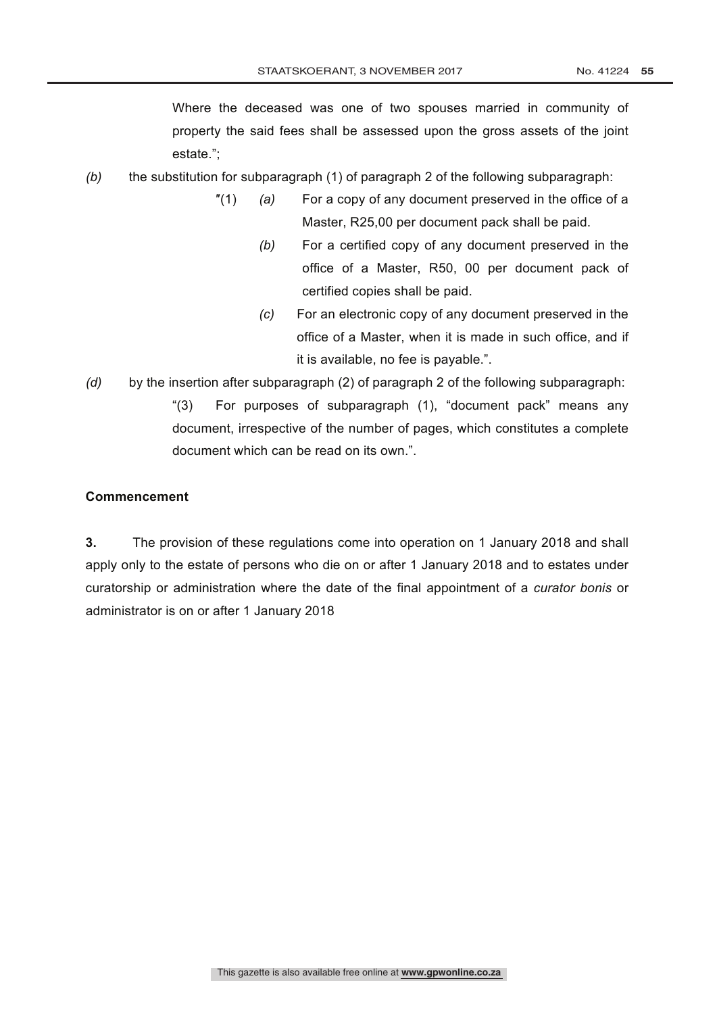Where the deceased was one of two spouses married in community of property the said fees shall be assessed upon the gross assets of the joint estate.";

- *(b)* the substitution for subparagraph (1) of paragraph 2 of the following subparagraph:
	- ″(1) *(a)* For a copy of any document preserved in the office of a Master, R25,00 per document pack shall be paid.
		- *(b)* For a certified copy of any document preserved in the office of a Master, R50, 00 per document pack of certified copies shall be paid.
		- *(c)* For an electronic copy of any document preserved in the office of a Master, when it is made in such office, and if it is available, no fee is payable.".
- *(d)* by the insertion after subparagraph (2) of paragraph 2 of the following subparagraph:
	- "(3) For purposes of subparagraph (1), "document pack" means any document, irrespective of the number of pages, which constitutes a complete document which can be read on its own.".

# **Commencement**

**3.** The provision of these regulations come into operation on 1 January 2018 and shall apply only to the estate of persons who die on or after 1 January 2018 and to estates under curatorship or administration where the date of the final appointment of a *curator bonis* or administrator is on or after 1 January 2018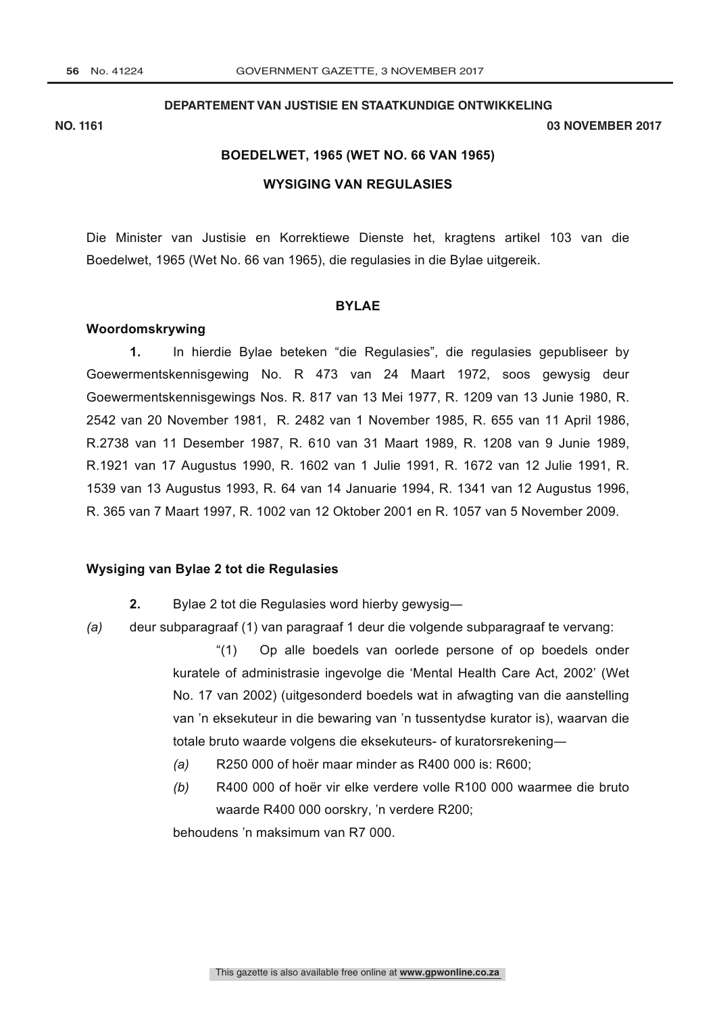#### **DEPARTEMENT VAN JUSTISIE EN STAATKUNDIGE ONTWIKKELING**

#### **NO. 1161 03 NOVEMBER 2017**

# **BOEDELWET, 1965 (WET NO. 66 VAN 1965)**

## **WYSIGING VAN REGULASIES**

Die Minister van Justisie en Korrektiewe Dienste het, kragtens artikel 103 van die Boedelwet, 1965 (Wet No. 66 van 1965), die regulasies in die Bylae uitgereik.

#### **BYLAE**

## **Woordomskrywing**

**1.** In hierdie Bylae beteken "die Regulasies", die regulasies gepubliseer by Goewermentskennisgewing No. R 473 van 24 Maart 1972, soos gewysig deur Goewermentskennisgewings Nos. R. 817 van 13 Mei 1977, R. 1209 van 13 Junie 1980, R. 2542 van 20 November 1981, R. 2482 van 1 November 1985, R. 655 van 11 April 1986, R.2738 van 11 Desember 1987, R. 610 van 31 Maart 1989, R. 1208 van 9 Junie 1989, R.1921 van 17 Augustus 1990, R. 1602 van 1 Julie 1991, R. 1672 van 12 Julie 1991, R. 1539 van 13 Augustus 1993, R. 64 van 14 Januarie 1994, R. 1341 van 12 Augustus 1996, R. 365 van 7 Maart 1997, R. 1002 van 12 Oktober 2001 en R. 1057 van 5 November 2009.

#### **Wysiging van Bylae 2 tot die Regulasies**

- **2.** Bylae 2 tot die Regulasies word hierby gewysig―
- *(a)* deur subparagraaf (1) van paragraaf 1 deur die volgende subparagraaf te vervang:

"(1) Op alle boedels van oorlede persone of op boedels onder kuratele of administrasie ingevolge die 'Mental Health Care Act, 2002' (Wet No. 17 van 2002) (uitgesonderd boedels wat in afwagting van die aanstelling van 'n eksekuteur in die bewaring van 'n tussentydse kurator is), waarvan die totale bruto waarde volgens die eksekuteurs- of kuratorsrekening―

- *(a)* R250 000 of hoër maar minder as R400 000 is: R600;
- *(b)* R400 000 of hoër vir elke verdere volle R100 000 waarmee die bruto waarde R400 000 oorskry, 'n verdere R200;

behoudens 'n maksimum van R7 000.